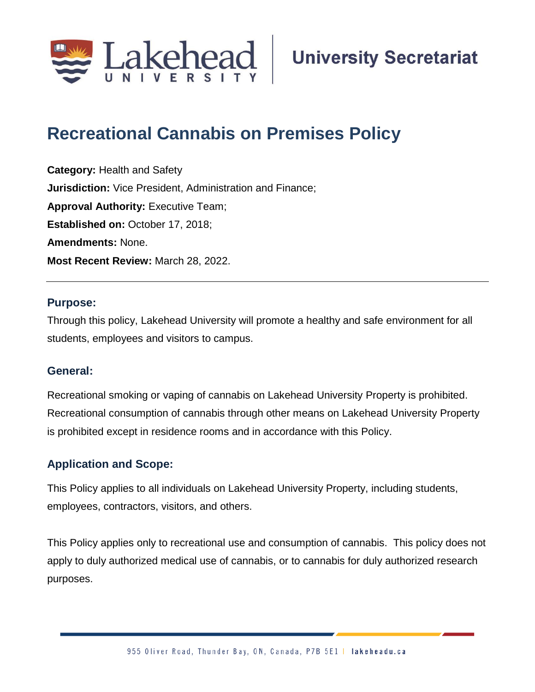

# **Recreational Cannabis on Premises Policy**

**Category:** Health and Safety **Jurisdiction:** Vice President, Administration and Finance; **Approval Authority: Executive Team; Established on: October 17, 2018; Amendments:** None. **Most Recent Review:** March 28, 2022.

#### **Purpose:**

Through this policy, Lakehead University will promote a healthy and safe environment for all students, employees and visitors to campus.

### **General:**

Recreational smoking or vaping of cannabis on Lakehead University Property is prohibited. Recreational consumption of cannabis through other means on Lakehead University Property is prohibited except in residence rooms and in accordance with this Policy.

### **Application and Scope:**

This Policy applies to all individuals on Lakehead University Property, including students, employees, contractors, visitors, and others.

This Policy applies only to recreational use and consumption of cannabis. This policy does not apply to duly authorized medical use of cannabis, or to cannabis for duly authorized research purposes.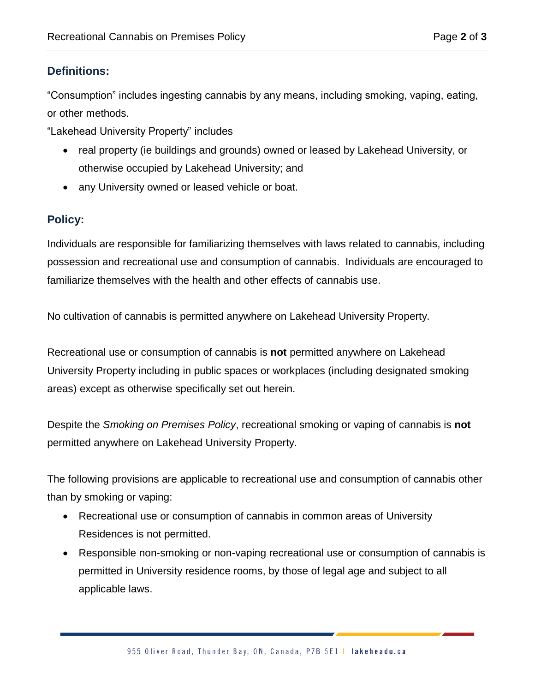## **Definitions:**

"Consumption" includes ingesting cannabis by any means, including smoking, vaping, eating, or other methods.

"Lakehead University Property" includes

- real property (ie buildings and grounds) owned or leased by Lakehead University, or otherwise occupied by Lakehead University; and
- any University owned or leased vehicle or boat.

## **Policy:**

Individuals are responsible for familiarizing themselves with laws related to cannabis, including possession and recreational use and consumption of cannabis. Individuals are encouraged to familiarize themselves with the health and other effects of cannabis use.

No cultivation of cannabis is permitted anywhere on Lakehead University Property.

Recreational use or consumption of cannabis is **not** permitted anywhere on Lakehead University Property including in public spaces or workplaces (including designated smoking areas) except as otherwise specifically set out herein.

Despite the *Smoking on Premises Policy*, recreational smoking or vaping of cannabis is **not** permitted anywhere on Lakehead University Property.

The following provisions are applicable to recreational use and consumption of cannabis other than by smoking or vaping:

- Recreational use or consumption of cannabis in common areas of University Residences is not permitted.
- Responsible non-smoking or non-vaping recreational use or consumption of cannabis is permitted in University residence rooms, by those of legal age and subject to all applicable laws.